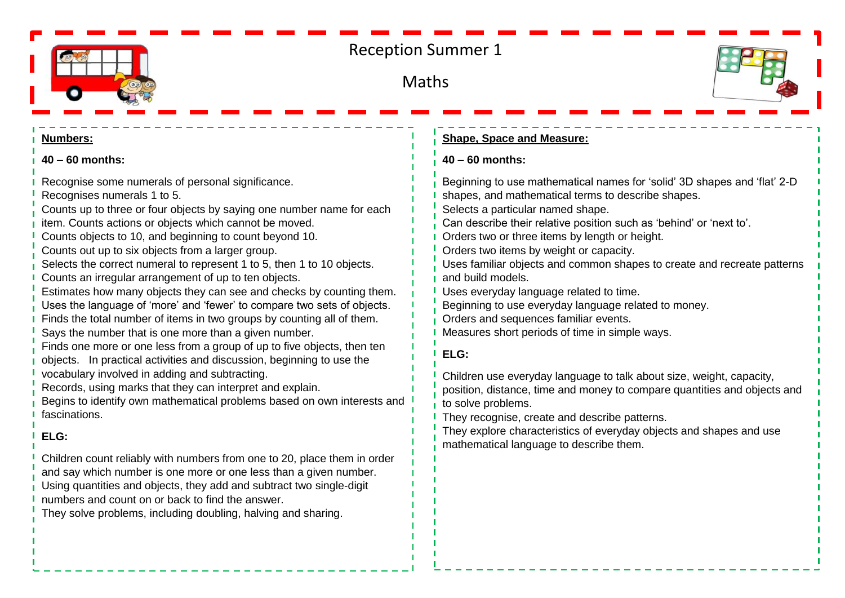

# Reception Summer 1

Maths



#### **Numbers:**

#### **40 – 60 months:**

Recognise some numerals of personal significance.

Recognises numerals 1 to 5.

- Counts up to three or four objects by saying one number name for each item. Counts actions or objects which cannot be moved.
- Counts objects to 10, and beginning to count beyond 10.
- Counts out up to six objects from a larger group.
- Selects the correct numeral to represent 1 to 5, then 1 to 10 objects.
- Counts an irregular arrangement of up to ten objects.
- Estimates how many objects they can see and checks by counting them.
- Uses the language of 'more' and 'fewer' to compare two sets of objects.
- Finds the total number of items in two groups by counting all of them.
- Says the number that is one more than a given number.
- Finds one more or one less from a group of up to five objects, then ten
- objects. In practical activities and discussion, beginning to use the vocabulary involved in adding and subtracting.
- Records, using marks that they can interpret and explain.
- Begins to identify own mathematical problems based on own interests and fascinations.

# **ELG:**

Children count reliably with numbers from one to 20, place them in order and say which number is one more or one less than a given number. Using quantities and objects, they add and subtract two single-digit

numbers and count on or back to find the answer.

They solve problems, including doubling, halving and sharing.

# **Shape, Space and Measure:**

### **40 – 60 months:**

| Beginning to use mathematical names for 'solid' 3D shapes and 'flat' 2-D<br>shapes, and mathematical terms to describe shapes.<br>Selects a particular named shape.<br>Can describe their relative position such as 'behind' or 'next to'.<br>Orders two or three items by length or height.<br>Orders two items by weight or capacity.<br>Uses familiar objects and common shapes to create and recreate patterns<br>and build models.<br>Uses everyday language related to time.<br>Beginning to use everyday language related to money.<br>Orders and sequences familiar events.<br>Measures short periods of time in simple ways. |  |
|---------------------------------------------------------------------------------------------------------------------------------------------------------------------------------------------------------------------------------------------------------------------------------------------------------------------------------------------------------------------------------------------------------------------------------------------------------------------------------------------------------------------------------------------------------------------------------------------------------------------------------------|--|
| ELG:                                                                                                                                                                                                                                                                                                                                                                                                                                                                                                                                                                                                                                  |  |
| Children use everyday language to talk about size, weight, capacity,<br>position, distance, time and money to compare quantities and objects and<br>to solve problems.<br>They recognise, create and describe patterns.<br>They explore characteristics of everyday objects and shapes and use<br>mathematical language to describe them.                                                                                                                                                                                                                                                                                             |  |